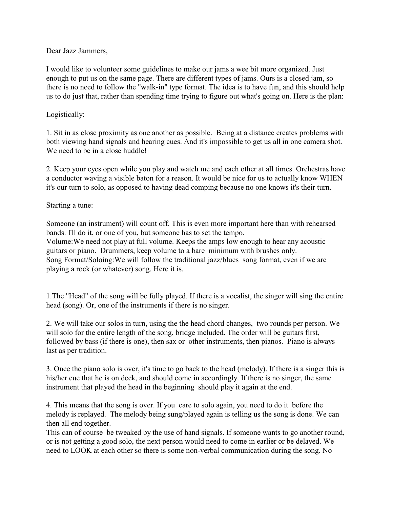## Dear Jazz Jammers,

I would like to volunteer some guidelines to make our jams a wee bit more organized. Just enough to put us on the same page. There are different types of jams. Ours is a closed jam, so there is no need to follow the "walk-in" type format. The idea is to have fun, and this should help us to do just that, rather than spending time trying to figure out what's going on. Here is the plan:

## Logistically:

1. Sit in as close proximity as one another as possible. Being at a distance creates problems with both viewing hand signals and hearing cues. And it's impossible to get us all in one camera shot. We need to be in a close huddle!

2. Keep your eyes open while you play and watch me and each other at all times. Orchestras have a conductor waving a visible baton for a reason. It would be nice for us to actually know WHEN it's our turn to solo, as opposed to having dead comping because no one knows it's their turn.

## Starting a tune:

Someone (an instrument) will count off. This is even more important here than with rehearsed bands. I'll do it, or one of you, but someone has to set the tempo. Volume:We need not play at full volume. Keeps the amps low enough to hear any acoustic guitars or piano. Drummers, keep volume to a bare minimum with brushes only. Song Format/Soloing:We will follow the traditional jazz/blues song format, even if we are playing a rock (or whatever) song. Here it is.

1.The "Head" of the song will be fully played. If there is a vocalist, the singer will sing the entire head (song). Or, one of the instruments if there is no singer.

2. We will take our solos in turn, using the the head chord changes, two rounds per person. We will solo for the entire length of the song, bridge included. The order will be guitars first, followed by bass (if there is one), then sax or other instruments, then pianos. Piano is always last as per tradition.

3. Once the piano solo is over, it's time to go back to the head (melody). If there is a singer this is his/her cue that he is on deck, and should come in accordingly. If there is no singer, the same instrument that played the head in the beginning should play it again at the end.

4. This means that the song is over. If you care to solo again, you need to do it before the melody is replayed. The melody being sung/played again is telling us the song is done. We can then all end together.

This can of course be tweaked by the use of hand signals. If someone wants to go another round, or is not getting a good solo, the next person would need to come in earlier or be delayed. We need to LOOK at each other so there is some non-verbal communication during the song. No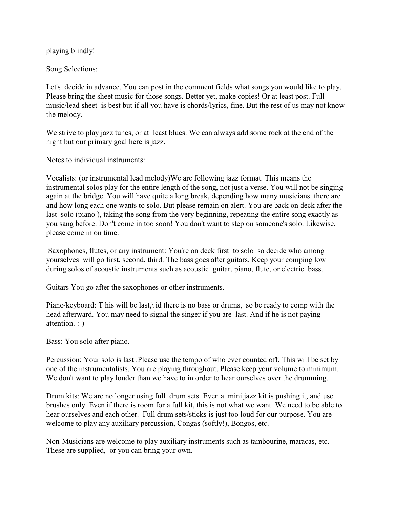playing blindly!

Song Selections:

Let's decide in advance. You can post in the comment fields what songs you would like to play. Please bring the sheet music for those songs. Better yet, make copies! Or at least post. Full music/lead sheet is best but if all you have is chords/lyrics, fine. But the rest of us may not know the melody.

We strive to play jazz tunes, or at least blues. We can always add some rock at the end of the night but our primary goal here is jazz.

Notes to individual instruments:

Vocalists: (or instrumental lead melody)We are following jazz format. This means the instrumental solos play for the entire length of the song, not just a verse. You will not be singing again at the bridge. You will have quite a long break, depending how many musicians there are and how long each one wants to solo. But please remain on alert. You are back on deck after the last solo (piano ), taking the song from the very beginning, repeating the entire song exactly as you sang before. Don't come in too soon! You don't want to step on someone's solo. Likewise, please come in on time.

Saxophones, flutes, or any instrument: You're on deck first to solo so decide who among yourselves will go first, second, third. The bass goes after guitars. Keep your comping low during solos of acoustic instruments such as acoustic guitar, piano, flute, or electric bass.

Guitars You go after the saxophones or other instruments.

Piano/keyboard: T his will be last, id there is no bass or drums, so be ready to comp with the head afterward. You may need to signal the singer if you are last. And if he is not paying attention. :-)

Bass: You solo after piano.

Percussion: Your solo is last .Please use the tempo of who ever counted off. This will be set by one of the instrumentalists. You are playing throughout. Please keep your volume to minimum. We don't want to play louder than we have to in order to hear ourselves over the drumming.

Drum kits: We are no longer using full drum sets. Even a mini jazz kit is pushing it, and use brushes only. Even if there is room for a full kit, this is not what we want. We need to be able to hear ourselves and each other. Full drum sets/sticks is just too loud for our purpose. You are welcome to play any auxiliary percussion, Congas (softly!), Bongos, etc.

Non-Musicians are welcome to play auxiliary instruments such as tambourine, maracas, etc. These are supplied, or you can bring your own.